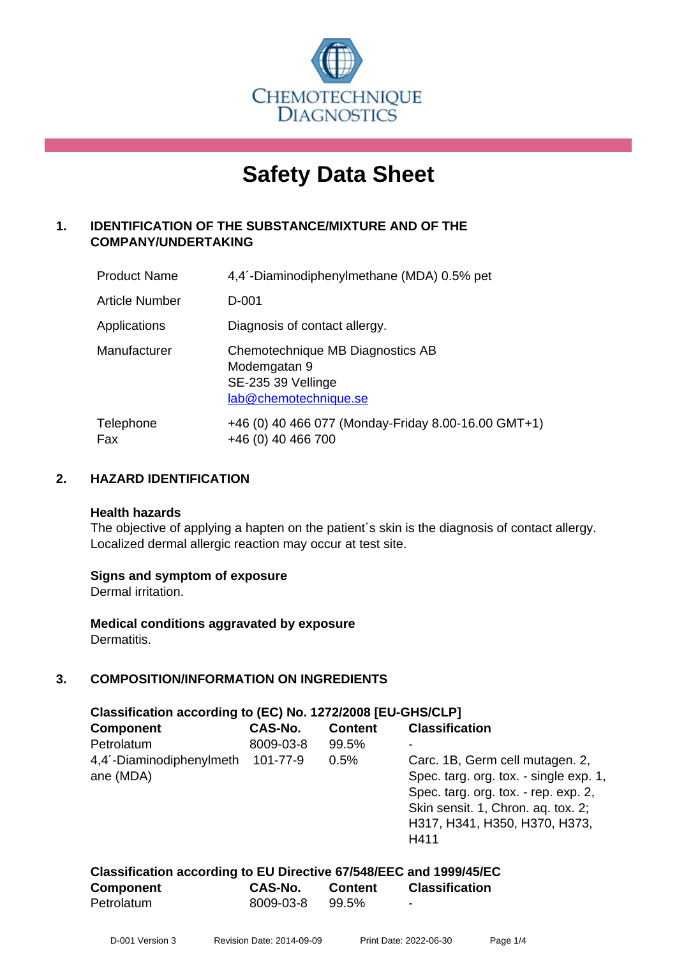

# **Safety Data Sheet**

#### **1. IDENTIFICATION OF THE SUBSTANCE/MIXTURE AND OF THE COMPANY/UNDERTAKING**

| <b>Product Name</b>   | 4,4 <sup>'</sup> -Diaminodiphenylmethane (MDA) 0.5% pet                                         |
|-----------------------|-------------------------------------------------------------------------------------------------|
| <b>Article Number</b> | $D-001$                                                                                         |
| Applications          | Diagnosis of contact allergy.                                                                   |
| Manufacturer          | Chemotechnique MB Diagnostics AB<br>Modemgatan 9<br>SE-235 39 Vellinge<br>lab@chemotechnique.se |
| Telephone<br>Fax      | +46 (0) 40 466 077 (Monday-Friday 8.00-16.00 GMT+1)<br>+46 (0) 40 466 700                       |

#### **2. HAZARD IDENTIFICATION**

#### **Health hazards**

The objective of applying a hapten on the patient's skin is the diagnosis of contact allergy. Localized dermal allergic reaction may occur at test site.

#### **Signs and symptom of exposure**

Dermal irritation.

**Medical conditions aggravated by exposure** Dermatitis.

#### **3. COMPOSITION/INFORMATION ON INGREDIENTS**

| Classification according to (EC) No. 1272/2008 [EU-GHS/CLP] |           |                |                                        |  |  |
|-------------------------------------------------------------|-----------|----------------|----------------------------------------|--|--|
| <b>Component</b>                                            | CAS-No.   | <b>Content</b> | <b>Classification</b>                  |  |  |
| Petrolatum                                                  | 8009-03-8 | 99.5%          | -                                      |  |  |
| 4,4 <sup>'</sup> -Diaminodiphenylmeth                       | 101-77-9  | 0.5%           | Carc. 1B, Germ cell mutagen. 2,        |  |  |
| ane (MDA)                                                   |           |                | Spec. targ. org. tox. - single exp. 1, |  |  |
|                                                             |           |                | Spec. targ. org. tox. - rep. exp. 2,   |  |  |
|                                                             |           |                | Skin sensit. 1, Chron. aq. tox. 2;     |  |  |
|                                                             |           |                | H317, H341, H350, H370, H373,          |  |  |
|                                                             |           |                | H411                                   |  |  |

| Classification according to EU Directive 67/548/EEC and 1999/45/EC |           |         |                       |
|--------------------------------------------------------------------|-----------|---------|-----------------------|
| <b>Component</b>                                                   | CAS-No.   | Content | <b>Classification</b> |
| Petrolatum                                                         | 8009-03-8 | 99.5%   | -                     |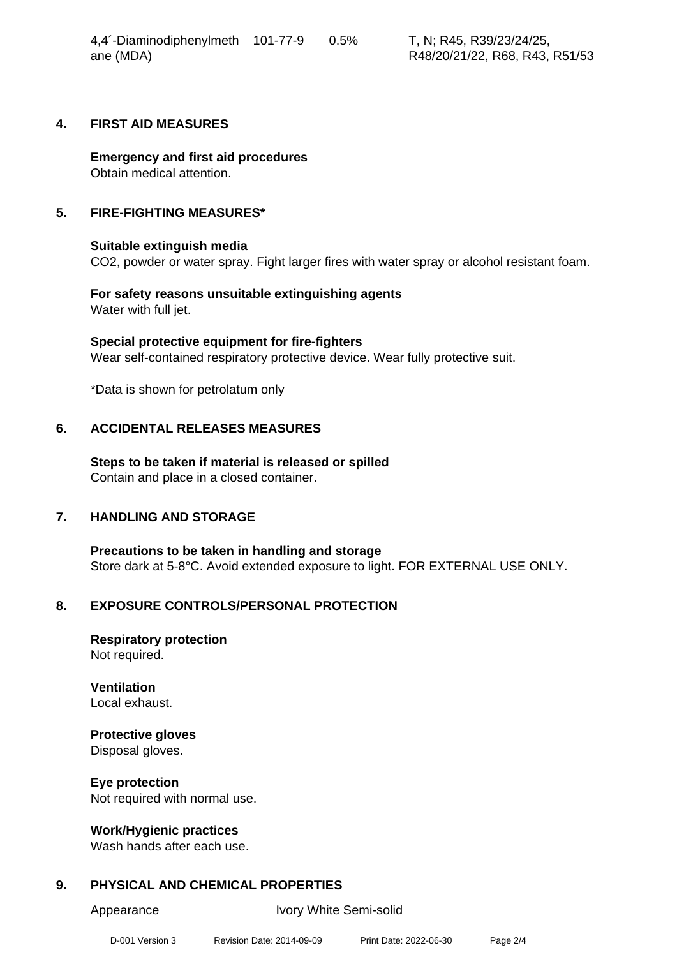4,4´-Diaminodiphenylmeth ane (MDA)

#### **4. FIRST AID MEASURES**

**Emergency and first aid procedures** Obtain medical attention.

#### **5. FIRE-FIGHTING MEASURES\***

#### **Suitable extinguish media**

CO2, powder or water spray. Fight larger fires with water spray or alcohol resistant foam.

**For safety reasons unsuitable extinguishing agents** Water with full jet.

**Special protective equipment for fire-fighters** Wear self-contained respiratory protective device. Wear fully protective suit.

\*Data is shown for petrolatum only

#### **6. ACCIDENTAL RELEASES MEASURES**

**Steps to be taken if material is released or spilled** Contain and place in a closed container.

#### **7. HANDLING AND STORAGE**

**Precautions to be taken in handling and storage** Store dark at 5-8°C. Avoid extended exposure to light. FOR EXTERNAL USE ONLY.

#### **8. EXPOSURE CONTROLS/PERSONAL PROTECTION**

**Respiratory protection** Not required.

**Ventilation** Local exhaust.

## **Protective gloves**

Disposal gloves.

**Eye protection** Not required with normal use.

#### **Work/Hygienic practices**

Wash hands after each use.

#### **9. PHYSICAL AND CHEMICAL PROPERTIES**

Appearance Ivory White Semi-solid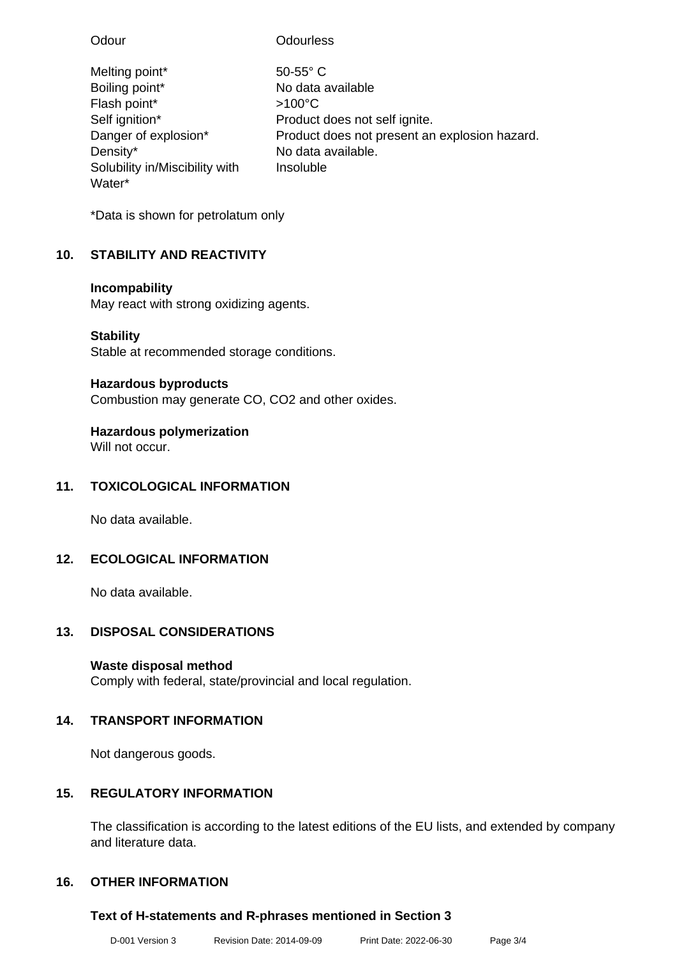| Odour                          | Odourless                                     |
|--------------------------------|-----------------------------------------------|
| Melting point*                 | $50-55$ °C                                    |
| Boiling point*                 | No data available                             |
| Flash point*                   | $>100^{\circ}$ C                              |
| Self ignition*                 | Product does not self ignite.                 |
| Danger of explosion*           | Product does not present an explosion hazard. |
| Density*                       | No data available.                            |
| Solubility in/Miscibility with | Insoluble                                     |
| Water*                         |                                               |

\*Data is shown for petrolatum only

### **10. STABILITY AND REACTIVITY**

#### **Incompability**

May react with strong oxidizing agents.

### **Stability**

Stable at recommended storage conditions.

### **Hazardous byproducts**

Combustion may generate CO, CO2 and other oxides.

### **Hazardous polymerization**

Will not occur.

### **11. TOXICOLOGICAL INFORMATION**

No data available.

### **12. ECOLOGICAL INFORMATION**

No data available.

### **13. DISPOSAL CONSIDERATIONS**

### **Waste disposal method**

Comply with federal, state/provincial and local regulation.

### **14. TRANSPORT INFORMATION**

Not dangerous goods.

### **15. REGULATORY INFORMATION**

The classification is according to the latest editions of the EU lists, and extended by company and literature data.

### **16. OTHER INFORMATION**

### **Text of H-statements and R-phrases mentioned in Section 3**